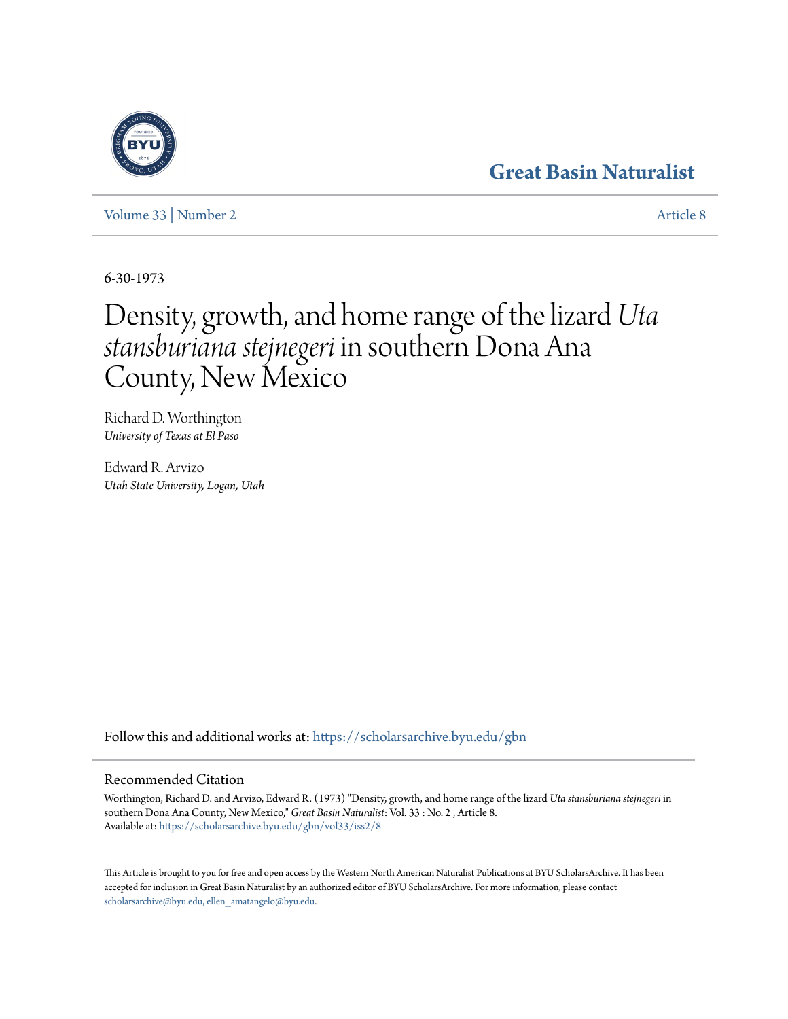## **[Great Basin Naturalist](https://scholarsarchive.byu.edu/gbn?utm_source=scholarsarchive.byu.edu%2Fgbn%2Fvol33%2Fiss2%2F8&utm_medium=PDF&utm_campaign=PDFCoverPages)**

[Volume 33](https://scholarsarchive.byu.edu/gbn/vol33?utm_source=scholarsarchive.byu.edu%2Fgbn%2Fvol33%2Fiss2%2F8&utm_medium=PDF&utm_campaign=PDFCoverPages) | [Number 2](https://scholarsarchive.byu.edu/gbn/vol33/iss2?utm_source=scholarsarchive.byu.edu%2Fgbn%2Fvol33%2Fiss2%2F8&utm_medium=PDF&utm_campaign=PDFCoverPages) [Article 8](https://scholarsarchive.byu.edu/gbn/vol33/iss2/8?utm_source=scholarsarchive.byu.edu%2Fgbn%2Fvol33%2Fiss2%2F8&utm_medium=PDF&utm_campaign=PDFCoverPages)

6-30-1973

# Density, growth, and home range of the lizard *Uta stansburiana stejnegeri* in southern Dona Ana County, New Mexico

Richard D. Worthington *University of Texas at El Paso*

Edward R. Arvizo *Utah State University, Logan, Utah*

Follow this and additional works at: [https://scholarsarchive.byu.edu/gbn](https://scholarsarchive.byu.edu/gbn?utm_source=scholarsarchive.byu.edu%2Fgbn%2Fvol33%2Fiss2%2F8&utm_medium=PDF&utm_campaign=PDFCoverPages)

### Recommended Citation

Worthington, Richard D. and Arvizo, Edward R. (1973) "Density, growth, and home range of the lizard *Uta stansburiana stejnegeri* in southern Dona Ana County, New Mexico," *Great Basin Naturalist*: Vol. 33 : No. 2 , Article 8. Available at: [https://scholarsarchive.byu.edu/gbn/vol33/iss2/8](https://scholarsarchive.byu.edu/gbn/vol33/iss2/8?utm_source=scholarsarchive.byu.edu%2Fgbn%2Fvol33%2Fiss2%2F8&utm_medium=PDF&utm_campaign=PDFCoverPages)

This Article is brought to you for free and open access by the Western North American Naturalist Publications at BYU ScholarsArchive. It has been accepted for inclusion in Great Basin Naturalist by an authorized editor of BYU ScholarsArchive. For more information, please contact [scholarsarchive@byu.edu, ellen\\_amatangelo@byu.edu.](mailto:scholarsarchive@byu.edu,%20ellen_amatangelo@byu.edu)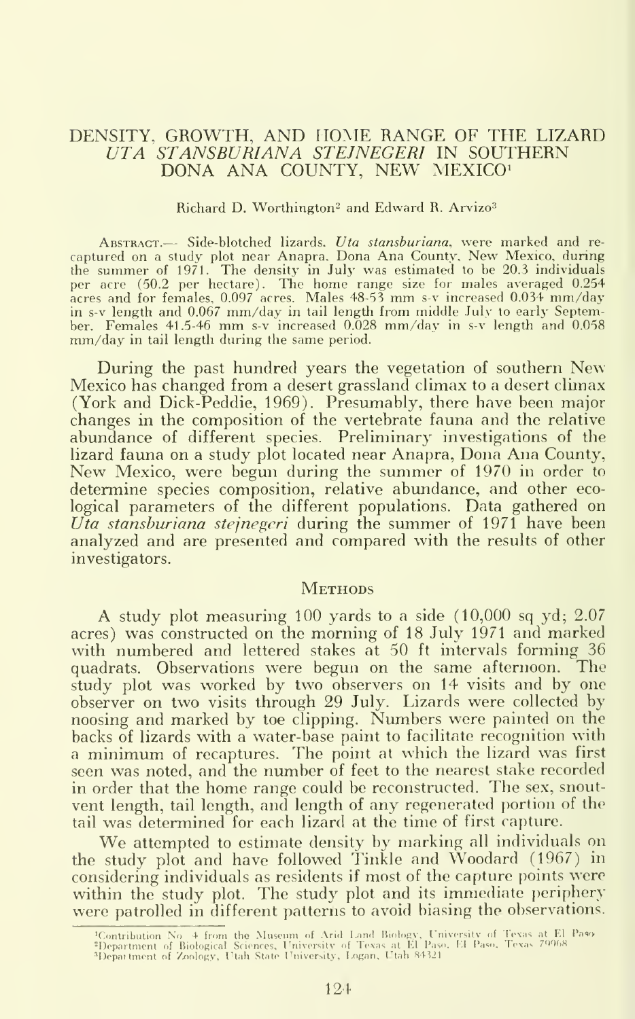#### DENSITY, GROWTH, AND HOME RANGE OF THE LIZARD UTA STANSBURIANA STEJNEGERI IN SOUTHERN DONA ANA COUNTY, NEW MEXICO'

#### Richard D. Worthington<sup>2</sup> and Edward R. Arvizo<sup>3</sup>

ABSTRACT.— Side-blotched lizards. Uta stansburiana, were marked and recaptured on <sup>a</sup> study plot near Anapra. Dona Ana County, New Mexico, during the summer of  $1971$ . The density in July was estimated to be 20.3 individuals per acre (50.2 per hectare). The home range size for males averaged 0.254 acres and for females, 0.097 acres. Males 48-53 mm s-v increased 0.034 mm/day in s-v length and 0.067 mm/day in tail length from middle .July to early September. Females <sup>41</sup> .5-46 mm s-v increased 0.028 mm/day in s-v length and 0.058 mm/day in tail length during the same period.

During the past hundred years the vegetation of southern New Mexico has changed from a desert grassland climax to a desert climax (York and Dick-Peddie, 1969). Presumably, there have been major changes in the composition of the vertebrate fauna and the relative abundance of different species. Preliminary investigations of the lizard fauna on a study plot located near Anapra, Dona Ana County, New Mexico, were begun during the summer of 1970 in order to determine species composition, relative abundance, and other ecological parameters of the different populations. Data gathered on Uta stansburiana stejnegeri during the summer of 1971 have been analyzed and are presented and compared with the results of other investigators.

#### **METHODS**

A study plot measuring <sup>100</sup> yards to <sup>a</sup> side (10,000 sq yd; 2.07 acres) was constructed on the morning of 18 July 1971 and marked with numbered and lettered stakes at 50 ft intervals forming 36 quadrats. Observations were begun on the same afternoon. The study plot was worked by two observers on 14 visits and by one observer on two visits through 29 July. Lizards were collected by noosing and marked by toe clipping. Numbers were painted on the backs of lizards with a water-base paint to facilitate recognition with <sup>a</sup> minimum of recaptures. The point at which the lizard was first seen was noted, and the number of feet to the nearest stake recorded in order that the home range could be reconstructed. The sex, snout vent length, tail length, and length of any regenerated portion of the tail was determined for each lizard at the time of first capture.

We attempted to estimate density by marking all individuals on the study plot and have followed Tinkle and Woodard (1967) in considering individuals as residents if most of the capture points were within the study plot. The study plot and its immediate periphery were patrolled in different patterns to avoid biasing the observations.

<sup>4</sup>Contribution No. 4 from the Museum of Arid Land Biology, University of Texas at El Paso.<br>4Department of Biological Sciences, University of Texas at El Paso, El Paso, Texas 79968.<br>4Department of Zoology, Utah State Univers

<sup>124</sup>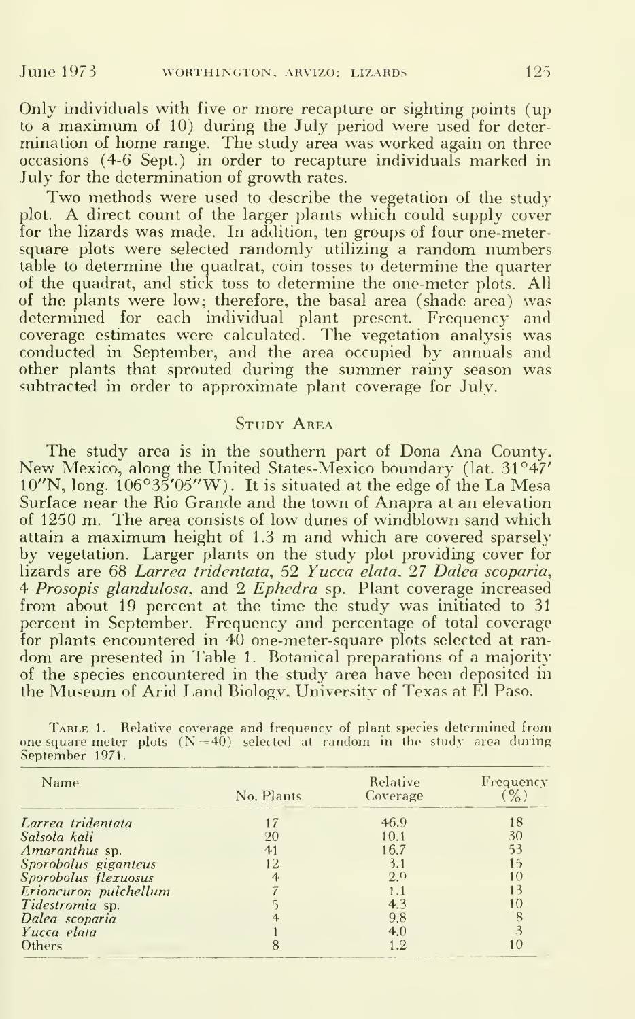Only individuals with five or more recapture or sighting points (up to <sup>a</sup> maximum of 10) during the July period were used for deter mination of home range. The study area was worked again on three occasions (4-6 Sept.) in order to recapture individuals marked in July for the determination of growth rates.

Two methods were used to describe the vegetation of the study plot. A direct count of the larger plants which could supply cover for the lizards was made. In addition, ten groups of four one-metersquare plots were selected randomly utilizing a random numbers table to determine the quadrat, coin tosses to determine the quarter of the quadrat, and stick toss to determine the one-meter plots. All of the plants were low; therefore, the basal area (shade area) was determined for each individual plant present. Frequency and coverage estimates were calculated. The vegetation analysis was conducted in September, and the area occupied by annuals and other plants that sprouted during the summer rainy season was subtracted in order to approximate plant coverage for July.

#### STUDY AREA

The study area is in the southern part of Dona Ana County, New Mexico, along the United States-Mexico boundary (lat. 31°47' 10"N, long. 106°35'05"W). It is situated at the edge of the La Mesa Surface near the Rio Grande and the town of Anapra at an elevation of 1250 m. The area consists of low dunes of windblown sand which attain <sup>a</sup> maximum height of 1.3 m and which are covered sparsely by vegetation. Larger plants on the study plot providing cover for lizards are 68 Larrea tridcntata, 52 Yucca elata, 27 Dalea scoparia, 4 *Prosopis glandulosa*, and 2 *Ephedra* sp. Plant coverage increased from about 19 percent at the time the study was initiated to 31 percent in September. Frequency and percentage of total coverage for plants encountered in 40 one-meter-square plots selected at random are presented in Table 1. Botanical preparations of <sup>a</sup> majority of the species encountered in the study area have been deposited in the Museum of Arid Land Biology. University of Texas at El Paso.

| <b>TABLE 1.</b> Relative coverage and frequency of plant species determined from |  |  |  |  |  |
|----------------------------------------------------------------------------------|--|--|--|--|--|
| one-square-meter plots $(N=40)$ selected at random in the study area during      |  |  |  |  |  |
| September 1971.                                                                  |  |  |  |  |  |

| Name                  | No. Plants | Relative<br>Coverage | Frequency |  |
|-----------------------|------------|----------------------|-----------|--|
| Larrea tridentata     |            | 46.9                 | 18        |  |
| Salsola kali          | 20         | 10.1                 | 30        |  |
| Amaranthus sp.        | 41         | 16.7                 | 53        |  |
| Sporobolus giganteus  |            | 3.1                  | 15        |  |
| Sporobolus flexuosus  |            | 2.9                  | 10        |  |
| Erioneuron pulchellum |            |                      |           |  |
| Tidestromia sp.       |            | 4.3                  | 10        |  |
| Dalea scoparia        |            | 9.8                  |           |  |
| Yucca elata           |            | 4.0                  |           |  |
| Others                |            | $\cdot$ .2           |           |  |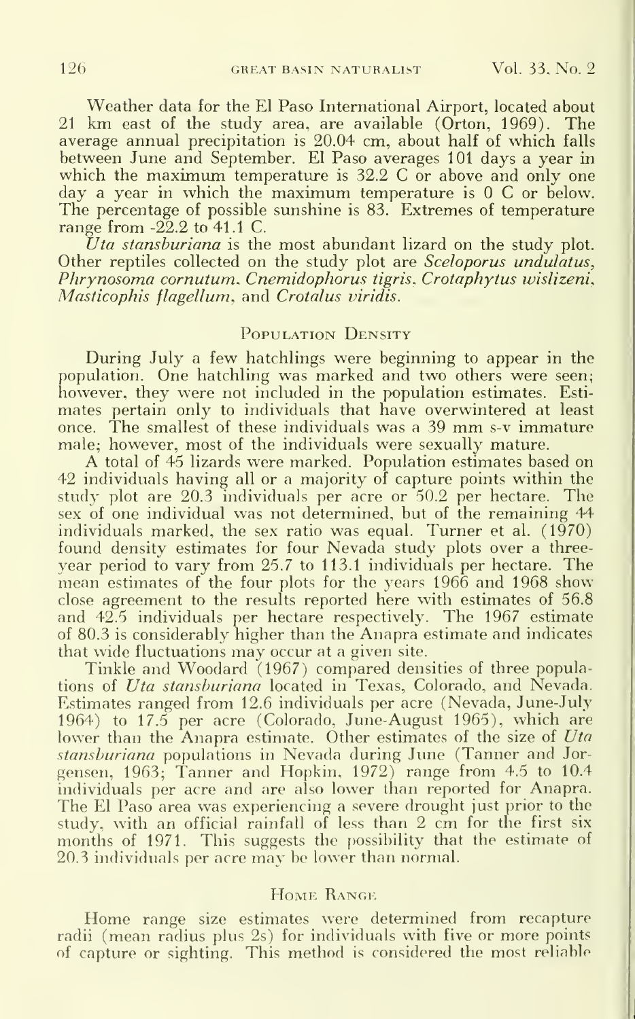Weather data for the El Paso International Airport, located about <sup>21</sup> km east of the study area, are available (Orton, 1969). The average annual precipitation is 20.04 cm, about half of which falls between June and September. El Paso averages 101 days a year in which the maximum temperature is 32.2 C or above and only one  $\alpha$  a vear in which the maximum temperature is 0 C or below. The percentage of possible sunshine is 83. Extremes of temperature range from  $-22.2$  to  $41.1$  C.

Uta stansburiana is the most abundant lizard on the study plot. Other reptiles collected on the study plot are *Sceloporus undulatus*, Phrynosoma cornutum. Cnemidophorus tigris. Crotaphytus wislizeni. Masticophis flagellum, and Crotalus viridis.

#### POPULATION DENSITY

During July a few hatchlings were beginning to appear in the population. One hatchling was marked and two others were seen; however, they were not included in the population estimates. Estimates pertain only to individuals that have overwintered at least once. The smallest of these individuals was <sup>a</sup> <sup>39</sup> mm s-v immature male; however, most of the individuals were sexually mature.

A total of <sup>45</sup> lizards were marked. Population estimates based on 42 individuals having all or a majority of capture points within the study plot are 20.3 individuals per acre or 50.2 per hectare. The sex of one individual was not determined, but of the remaining 44 individuals marked, the sex ratio was equal. Turner et al.  $(1970)$ found density estimates for four Nevada study plots over a threeyear period to vary from 25.7 to 113.1 individuals per hectare. The mean estimates of the four plots for the years 1966 and 1968 show close agreement to the results reported here with estimates of 56.8 and 42.5 individuals per hectare respectively. The 1967 estimate of 80.3 is considerably higher than the Anapra estimate and indicates that wide fluctuations may occur at <sup>a</sup> given site.

Tinkle and Woodard (1967) compared densities of three populations of *Uta stansburiana* located in Texas, Colorado, and Nevada. Estimates ranged from 12.6 individuals per acre (Nevada, June-July 1964) to 17.5 per acre (Colorado, June-August 1965), which are lower than the Anapra estimate. Other estimates of the size of Uta stansburiana populations in Nevada during June (Tanner and Jorgensen, 1963; Tanner and Hopkin, 1972) range from 4.5 to 10.4 individuals per acre and are also lower than reported for Anapra. The El Paso area was experiencing <sup>a</sup> severe drought just prior to the study, with an official rainfall of less than 2 cm for the first six months of 1971. This suggests the possibility that the estimate of 20.3 individuals per acre may be lower than normal.

#### Home Range

Home range size estimates were determined from recapture radii (mean radius plus 2s) for individuals with five or more points of capture or sighting. This method is considered the most reliable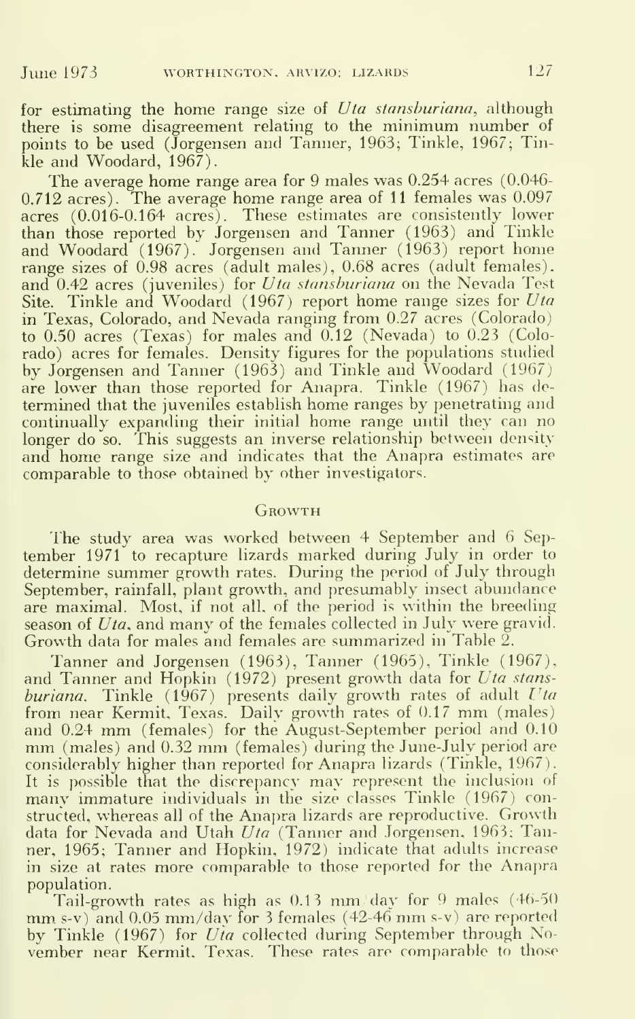for estimating the home range size of Uta stansburiana, although there is some disagreement relating to the minimum number of points to be used (Jorgensen and Tanner, 1963; Tinkle, 1967; Tinkle and Woodard, 1967).

The average home range area for 9 males was 0.254 acres (0.046- 0.712 acres). The average home range area of <sup>11</sup> females was 0.097 acres (0.016-0.164 acres). These estimates are consistently lower than those reported by Jorgensen and Tanner (1963) and Tinkle and Woodard (1967). Jorgensen and Tanner (1963) report home range sizes of 0.98 acres (adult males), 0.68 acres (adult females). and 0.42 acres (juveniles) for Uta stansburiana on the Nevada Test Site. Tinkle and Woodard (1967) report home range sizes for  $Uta$ in Texas, Colorado, and Nevada ranging from 0.27 acres (Colorado) to 0.50 acres (Texas) for males and 0.12 (Nevada) to 0.23 (Colorado) acres for females. Density figures for the populations studied by Jorgensen and Tanner (1963) and Tinkle and Woodard (1967) are lower than those reported for Anapra. Tinkle (1967) has de termined that the juveniles establish home ranges by penetrating and continually expanding their initial home range until they can no longer do so. This suggests an inverse relationship between density and home range size and indicates that the Anapra estimates are comparable to those obtained by other investigators.

#### **GROWTH**

The study area was worked between 4 September and 6 September 1971 to recapture lizards marked during July in order to determine summer growth rates. During the period of July through September, rainfall, plant growth, and presumably insect abundance are maximal. Most, if not all. of the period is within the breeding season of Uta, and many of the females collected in July were gravid. Growth data for males and females are summarized in Table 2.

Tanner and Jorgensen (1963), Tanner (1965), Tinkle (1967), and Tanner and Hopkin (1972) present growth data for Uta stansburiana. Tinkle  $(1967)$  presents daily growth rates of adult Uta from near Kermit, Texas. Daily growth rates of 0.17 mm (males) and 0.24 mm (females) for the August-September period and 0.10 mm (males) and 0.32 mm (females) during the June-July period are considerably higher than reported for Anapra lizards (Tinkle, 1967).<br>It is possible that the discrepancy may represent the inclusion of many immature individuals in the size classes Tinkle (1967) constructed, whereas all of the Anapra lizards are reproductive. Growth data for Nevada and Utah Uta (Tanner and Jorgensen, 1963; Tanner, 1965; Tanner and Hopkin, 1972) indicate that adults increase in size at rates more comparable to those reported for the Anapra population.

Tail-growth rates as high as 0.13 mm/day for <sup>9</sup> males (46-50 mm. s-v) and 0.05 mm/day for <sup>3</sup> females (42-46 mm s-v) are reported by Tinkle (1967) for  $Uia$  collected during September through November near Kermit. Texas. These rates are comparable to those